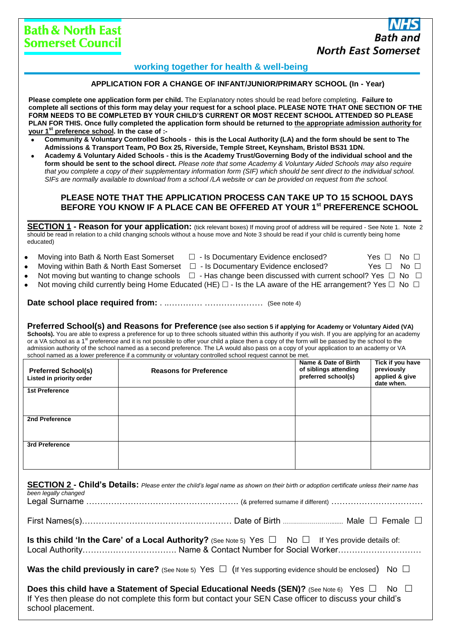# **working together for health & well-being**

#### **APPLICATION FOR A CHANGE OF INFANT/JUNIOR/PRIMARY SCHOOL (In - Year)**

**Please complete one application form per child.** The Explanatory notes should be read before completing. **Failure to complete all sections of this form may delay your request for a school place. PLEASE NOTE THAT ONE SECTION OF THE FORM NEEDS TO BE COMPLETED BY YOUR CHILD'S CURRENT OR MOST RECENT SCHOOL ATTENDED SO PLEASE PLAN FOR THIS. Once fully completed the application form should be returned to the appropriate admission authority for your 1st preference school. In the case of :-**

- **Community & Voluntary Controlled Schools this is the Local Authority (LA) and the form should be sent to The Admissions & Transport Team, PO Box 25, Riverside, Temple Street, Keynsham, Bristol BS31 1DN.**
- **Academy & Voluntary Aided Schools - this is the Academy Trust/Governing Body of the individual school and the form should be sent to the school direct.** *Please note that some Academy & Voluntary Aided Schools may also require that you complete a copy of their supplementary information form (SIF) which should be sent direct to the individual school. SIFs are normally available to download from a school /LA website or can be provided on request from the school.*

#### **PLEASE NOTE THAT THE APPLICATION PROCESS CAN TAKE UP TO 15 SCHOOL DAYS BEFORE YOU KNOW IF A PLACE CAN BE OFFERED AT YOUR 1st PREFERENCE SCHOOL**

**SECTION 1 - Reason for your application:** (tick relevant boxes) If moving proof of address will be required - See Note 1. Note 2 should be read in relation to a child changing schools without a house move and Note 3 should be read if your child is currently being home educated)

**\_\_\_\_\_\_\_\_\_\_\_\_\_\_\_\_\_\_\_\_\_\_\_\_\_\_\_\_\_\_\_\_\_\_\_\_\_\_\_\_\_\_\_\_\_\_\_\_\_\_\_\_\_\_\_\_\_\_\_\_\_\_\_\_\_\_\_\_\_\_\_\_\_\_\_\_\_\_\_\_\_\_\_\_\_**

- Moving into Bath & North East Somerset  $\Box$  Is Documentary Evidence enclosed? Yes  $\Box$  No  $\Box$
- Moving within Bath & North East Somerset  $\Box$  Is Documentary Evidence enclosed? Yes  $\Box$  No  $\Box$ 
	-
- 
- Not moving but wanting to change schools  $\Box$  Has change been discussed with current school? Yes  $\Box$  No  $\Box$
- Not moving child currently being Home Educated (HE)  $\Box$  Is the LA aware of the HE arrangement? Yes  $\Box$  No  $\Box$

## **Date school place required from:** . ..………… ………………… (See note 4)

**Preferred School(s) and Reasons for Preference (see also section 5 if applying for Academy or Voluntary Aided (VA)**  Schools). You are able to express a preference for up to three schools situated within this authority if you wish. If you are applying for an academy or a VA school as a 1<sup>st</sup> preference and it is not possible to offer your child a place then a copy of the form will be passed by the school to the admission authority of the school named as a second preference. The LA would also pass on a copy of your application to an academy or VA school named as a lower preference if a community or voluntary controlled school request cannot be met.

| <b>Preferred School(s)</b><br>Listed in priority order | <b>Reasons for Preference</b> | Name & Date of Birth<br>of siblings attending<br>preferred school(s) | Tick if you have<br>previously<br>applied & give<br>date when. |
|--------------------------------------------------------|-------------------------------|----------------------------------------------------------------------|----------------------------------------------------------------|
| <b>1st Preference</b>                                  |                               |                                                                      |                                                                |
| 2nd Preference                                         |                               |                                                                      |                                                                |
| 3rd Preference                                         |                               |                                                                      |                                                                |

| been legally changed                                                                                                                                                                                                                        | SECTION 2 - Child's Details: Please enter the child's legal name as shown on their birth or adoption certificate unless their name has |  |  |  |
|---------------------------------------------------------------------------------------------------------------------------------------------------------------------------------------------------------------------------------------------|----------------------------------------------------------------------------------------------------------------------------------------|--|--|--|
|                                                                                                                                                                                                                                             |                                                                                                                                        |  |  |  |
| <b>Is this child 'In the Care' of a Local Authority?</b> (See Note 5) Yes $\Box$ No $\Box$ If Yes provide details of:                                                                                                                       |                                                                                                                                        |  |  |  |
| Was the child previously in care? (See Note 5) Yes $\Box$ (If Yes supporting evidence should be enclosed) No $\Box$                                                                                                                         |                                                                                                                                        |  |  |  |
| Does this child have a Statement of Special Educational Needs (SEN)? (See Note 6) Yes $\square$ No $\square$<br>If Yes then please do not complete this form but contact your SEN Case officer to discuss your child's<br>school placement. |                                                                                                                                        |  |  |  |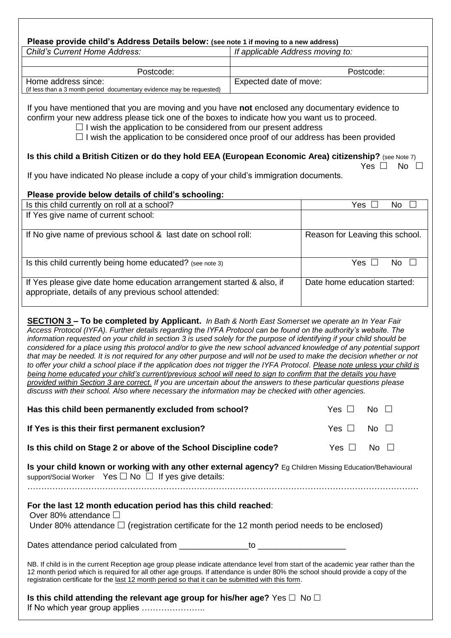# **Please provide child's Address Details below: (see note 1 if moving to a new address)**

| <b>Child's Current Home Address:</b>                                  | If applicable Address moving to: |  |
|-----------------------------------------------------------------------|----------------------------------|--|
|                                                                       |                                  |  |
| Postcode:                                                             | Postcode:                        |  |
| Home address since:                                                   | Expected date of move:           |  |
| (if less than a 3 month period documentary evidence may be requested) |                                  |  |

If you have mentioned that you are moving and you have **not** enclosed any documentary evidence to confirm your new address please tick one of the boxes to indicate how you want us to proceed.

 $\Box$  I wish the application to be considered from our present address

 $\Box$  I wish the application to be considered once proof of our address has been provided

#### **Is this child a British Citizen or do they hold EEA (European Economic Area) citizenship?** (see Note 7) Yes  $\Box$  No  $\Box$

If you have indicated No please include a copy of your child's immigration documents.

# **Please provide below details of child's schooling:**

| Is this child currently on roll at a school?                                                                                   | Yes.<br>No                      |
|--------------------------------------------------------------------------------------------------------------------------------|---------------------------------|
| If Yes give name of current school:                                                                                            |                                 |
| If No give name of previous school & last date on school roll:                                                                 | Reason for Leaving this school. |
| Is this child currently being home educated? (see note 3)                                                                      | Yes<br>N٥                       |
| If Yes please give date home education arrangement started & also, if<br>appropriate, details of any previous school attended: | Date home education started:    |

**SECTION 3 – To be completed by Applicant.** *In Bath & North East Somerset we operate an In Year Fair Access Protocol (IYFA). Further details regarding the IYFA Protocol can be found on the authority's website. The information requested on your child in section 3 is used solely for the purpose of identifying if your child should be considered for a place using this protocol and/or to give the new school advanced knowledge of any potential support that may be needed. It is not required for any other purpose and will not be used to make the decision whether or not to offer your child a school place if the application does not trigger the IYFA Protocol. Please note unless your child is being home educated your child's current/previous school will need to sign to confirm that the details you have provided within Section 3 are correct. If you are uncertain about the answers to these particular questions please discuss with their school. Also where necessary the information may be checked with other agencies.* 

| Has this child been permanently excluded from school?                                                                                                                                                                                                                                                                                                                      | Yes $\Box$    | No $\square$    |
|----------------------------------------------------------------------------------------------------------------------------------------------------------------------------------------------------------------------------------------------------------------------------------------------------------------------------------------------------------------------------|---------------|-----------------|
| If Yes is this their first permanent exclusion?                                                                                                                                                                                                                                                                                                                            | Yes $\Box$    | No $\square$    |
| Is this child on Stage 2 or above of the School Discipline code?                                                                                                                                                                                                                                                                                                           | Yes $\square$ | $No \quad \Box$ |
| Is your child known or working with any other external agency? Eg Children Missing Education/Behavioural<br>support/Social Worker Yes □ No □ If yes give details:                                                                                                                                                                                                          |               |                 |
| For the last 12 month education period has this child reached:<br>Over 80% attendance $\Box$<br>Under 80% attendance $\Box$ (registration certificate for the 12 month period needs to be enclosed)                                                                                                                                                                        |               |                 |
|                                                                                                                                                                                                                                                                                                                                                                            |               |                 |
| NB. If child is in the current Reception age group please indicate attendance level from start of the academic year rather than the<br>12 month period which is required for all other age groups. If attendance is under 80% the school should provide a copy of the<br>registration certificate for the last 12 month period so that it can be submitted with this form. |               |                 |
| Is this child attending the relevant age group for his/her age? Yes $\Box$ No $\Box$                                                                                                                                                                                                                                                                                       |               |                 |

If No which year group applies …………………..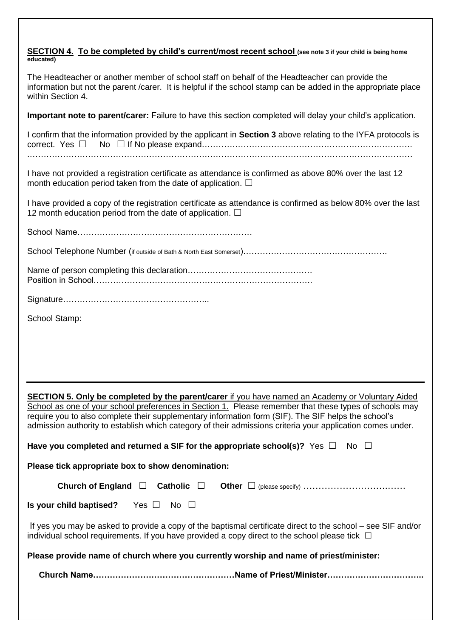#### **SECTION 4. To be completed by child's current/most recent school (see note 3 if your child is being home educated)**

The Headteacher or another member of school staff on behalf of the Headteacher can provide the information but not the parent /carer. It is helpful if the school stamp can be added in the appropriate place within Section 4.

**Important note to parent/carer:** Failure to have this section completed will delay your child's application.

I confirm that the information provided by the applicant in **Section 3** above relating to the IYFA protocols is correct. Yes No If No please expand…………………………………………………………………. .…………………………………………………………………………………………………………………………

I have not provided a registration certificate as attendance is confirmed as above 80% over the last 12 month education period taken from the date of application.  $\square$ 

I have provided a copy of the registration certificate as attendance is confirmed as below 80% over the last 12 month education period from the date of application.  $\Box$ 

School Name………………………………………………………

School Telephone Number (if outside of Bath & North East Somerset)…………………………………………

Name of person completing this declaration……………………………………… Position in School…………………………………………………………………….

School Stamp:

**SECTION 5. Only be completed by the parent/carer** if you have named an Academy or Voluntary Aided School as one of your school preferences in Section 1. Please remember that these types of schools may require you to also complete their supplementary information form (SIF). The SIF helps the school's admission authority to establish which category of their admissions criteria your application comes under.

**Have you completed and returned a SIF for the appropriate school(s)?** Yes  $\Box$  No  $\Box$ 

**Please tick appropriate box to show denomination:**

|--|--|--|--|

**Is your child baptised?** Yes □ No □

If yes you may be asked to provide a copy of the baptismal certificate direct to the school – see SIF and/or individual school requirements. If you have provided a copy direct to the school please tick  $\Box$ 

**Please provide name of church where you currently worship and name of priest/minister:**

 **Church Name……………………………………………Name of Priest/Minister……………………………..**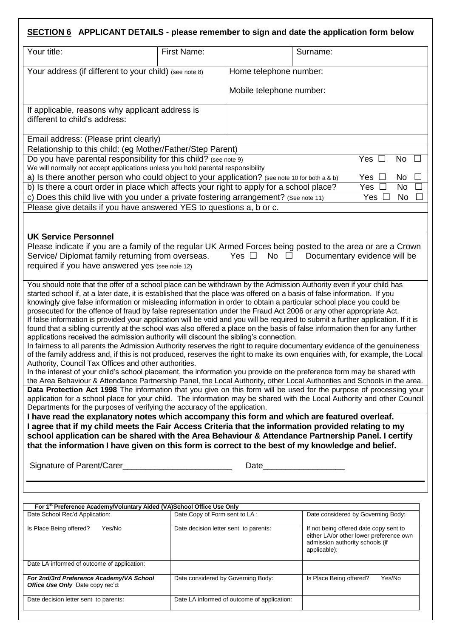# **SECTION 6 APPLICANT DETAILS - please remember to sign and date the application form below**

| Your title:                                                                                                                                                                                                                                                                                                                                                                                                                                                                                                                                                                                                                                                                                                                                                                                                                                                                                                                                                                                                                                                                                                                                                                                                                                                                                                                                                                                                                                                                                                                                                                                                                                                                                                                                                                                                                                                                                                                                                                                                                                                                                                                                                                                                                                                                                                                                                                                                                   | First Name: |                          | Surname: |                |               |
|-------------------------------------------------------------------------------------------------------------------------------------------------------------------------------------------------------------------------------------------------------------------------------------------------------------------------------------------------------------------------------------------------------------------------------------------------------------------------------------------------------------------------------------------------------------------------------------------------------------------------------------------------------------------------------------------------------------------------------------------------------------------------------------------------------------------------------------------------------------------------------------------------------------------------------------------------------------------------------------------------------------------------------------------------------------------------------------------------------------------------------------------------------------------------------------------------------------------------------------------------------------------------------------------------------------------------------------------------------------------------------------------------------------------------------------------------------------------------------------------------------------------------------------------------------------------------------------------------------------------------------------------------------------------------------------------------------------------------------------------------------------------------------------------------------------------------------------------------------------------------------------------------------------------------------------------------------------------------------------------------------------------------------------------------------------------------------------------------------------------------------------------------------------------------------------------------------------------------------------------------------------------------------------------------------------------------------------------------------------------------------------------------------------------------------|-------------|--------------------------|----------|----------------|---------------|
| Your address (if different to your child) (see note 8)                                                                                                                                                                                                                                                                                                                                                                                                                                                                                                                                                                                                                                                                                                                                                                                                                                                                                                                                                                                                                                                                                                                                                                                                                                                                                                                                                                                                                                                                                                                                                                                                                                                                                                                                                                                                                                                                                                                                                                                                                                                                                                                                                                                                                                                                                                                                                                        |             | Home telephone number:   |          |                |               |
|                                                                                                                                                                                                                                                                                                                                                                                                                                                                                                                                                                                                                                                                                                                                                                                                                                                                                                                                                                                                                                                                                                                                                                                                                                                                                                                                                                                                                                                                                                                                                                                                                                                                                                                                                                                                                                                                                                                                                                                                                                                                                                                                                                                                                                                                                                                                                                                                                               |             | Mobile telephone number: |          |                |               |
| If applicable, reasons why applicant address is<br>different to child's address:                                                                                                                                                                                                                                                                                                                                                                                                                                                                                                                                                                                                                                                                                                                                                                                                                                                                                                                                                                                                                                                                                                                                                                                                                                                                                                                                                                                                                                                                                                                                                                                                                                                                                                                                                                                                                                                                                                                                                                                                                                                                                                                                                                                                                                                                                                                                              |             |                          |          |                |               |
| Email address: (Please print clearly)                                                                                                                                                                                                                                                                                                                                                                                                                                                                                                                                                                                                                                                                                                                                                                                                                                                                                                                                                                                                                                                                                                                                                                                                                                                                                                                                                                                                                                                                                                                                                                                                                                                                                                                                                                                                                                                                                                                                                                                                                                                                                                                                                                                                                                                                                                                                                                                         |             |                          |          |                |               |
| Relationship to this child: (eg Mother/Father/Step Parent)                                                                                                                                                                                                                                                                                                                                                                                                                                                                                                                                                                                                                                                                                                                                                                                                                                                                                                                                                                                                                                                                                                                                                                                                                                                                                                                                                                                                                                                                                                                                                                                                                                                                                                                                                                                                                                                                                                                                                                                                                                                                                                                                                                                                                                                                                                                                                                    |             |                          |          |                |               |
| Do you have parental responsibility for this child? (see note 9)<br>We will normally not accept applications unless you hold parental responsibility                                                                                                                                                                                                                                                                                                                                                                                                                                                                                                                                                                                                                                                                                                                                                                                                                                                                                                                                                                                                                                                                                                                                                                                                                                                                                                                                                                                                                                                                                                                                                                                                                                                                                                                                                                                                                                                                                                                                                                                                                                                                                                                                                                                                                                                                          |             |                          |          | Yes<br>$\perp$ | No<br>$\perp$ |
| a) Is there another person who could object to your application? (see note 10 for both a & b)                                                                                                                                                                                                                                                                                                                                                                                                                                                                                                                                                                                                                                                                                                                                                                                                                                                                                                                                                                                                                                                                                                                                                                                                                                                                                                                                                                                                                                                                                                                                                                                                                                                                                                                                                                                                                                                                                                                                                                                                                                                                                                                                                                                                                                                                                                                                 |             |                          |          | Yes $\Box$     | No            |
| b) Is there a court order in place which affects your right to apply for a school place?                                                                                                                                                                                                                                                                                                                                                                                                                                                                                                                                                                                                                                                                                                                                                                                                                                                                                                                                                                                                                                                                                                                                                                                                                                                                                                                                                                                                                                                                                                                                                                                                                                                                                                                                                                                                                                                                                                                                                                                                                                                                                                                                                                                                                                                                                                                                      |             |                          |          | Yes            | <b>No</b>     |
| c) Does this child live with you under a private fostering arrangement? (See note 11)                                                                                                                                                                                                                                                                                                                                                                                                                                                                                                                                                                                                                                                                                                                                                                                                                                                                                                                                                                                                                                                                                                                                                                                                                                                                                                                                                                                                                                                                                                                                                                                                                                                                                                                                                                                                                                                                                                                                                                                                                                                                                                                                                                                                                                                                                                                                         |             |                          |          | <b>Yes</b>     | <b>No</b>     |
| Please give details if you have answered YES to questions a, b or c.                                                                                                                                                                                                                                                                                                                                                                                                                                                                                                                                                                                                                                                                                                                                                                                                                                                                                                                                                                                                                                                                                                                                                                                                                                                                                                                                                                                                                                                                                                                                                                                                                                                                                                                                                                                                                                                                                                                                                                                                                                                                                                                                                                                                                                                                                                                                                          |             |                          |          |                |               |
|                                                                                                                                                                                                                                                                                                                                                                                                                                                                                                                                                                                                                                                                                                                                                                                                                                                                                                                                                                                                                                                                                                                                                                                                                                                                                                                                                                                                                                                                                                                                                                                                                                                                                                                                                                                                                                                                                                                                                                                                                                                                                                                                                                                                                                                                                                                                                                                                                               |             |                          |          |                |               |
| <b>UK Service Personnel</b><br>Please indicate if you are a family of the regular UK Armed Forces being posted to the area or are a Crown<br>Service/ Diplomat family returning from overseas.<br>No $\square$<br>Yes $\Box$<br>Documentary evidence will be<br>required if you have answered yes (see note 12)                                                                                                                                                                                                                                                                                                                                                                                                                                                                                                                                                                                                                                                                                                                                                                                                                                                                                                                                                                                                                                                                                                                                                                                                                                                                                                                                                                                                                                                                                                                                                                                                                                                                                                                                                                                                                                                                                                                                                                                                                                                                                                               |             |                          |          |                |               |
| You should note that the offer of a school place can be withdrawn by the Admission Authority even if your child has<br>started school if, at a later date, it is established that the place was offered on a basis of false information. If you<br>knowingly give false information or misleading information in order to obtain a particular school place you could be<br>prosecuted for the offence of fraud by false representation under the Fraud Act 2006 or any other appropriate Act.<br>If false information is provided your application will be void and you will be required to submit a further application. If it is<br>found that a sibling currently at the school was also offered a place on the basis of false information then for any further<br>applications received the admission authority will discount the sibling's connection.<br>In fairness to all parents the Admission Authority reserves the right to require documentary evidence of the genuineness<br>of the family address and, if this is not produced, reserves the right to make its own enquiries with, for example, the Local<br>Authority, Council Tax Offices and other authorities.<br>In the interest of your child's school placement, the information you provide on the preference form may be shared with<br>the Area Behaviour & Attendance Partnership Panel, the Local Authority, other Local Authorities and Schools in the area.<br>Data Protection Act 1998 The information that you give on this form will be used for the purpose of processing your<br>application for a school place for your child. The information may be shared with the Local Authority and other Council<br>Departments for the purposes of verifying the accuracy of the application.<br>I have read the explanatory notes which accompany this form and which are featured overleaf.<br>I agree that if my child meets the Fair Access Criteria that the information provided relating to my<br>school application can be shared with the Area Behaviour & Attendance Partnership Panel. I certify<br>that the information I have given on this form is correct to the best of my knowledge and belief.<br>Date and the state of the state of the state of the state of the state of the state of the state of the state of the state of the state of the state of the state of the state of the state of the state of the state of the s |             |                          |          |                |               |
| For 1st Preference Academy/Voluntary Aided (VA)School Office Use Only                                                                                                                                                                                                                                                                                                                                                                                                                                                                                                                                                                                                                                                                                                                                                                                                                                                                                                                                                                                                                                                                                                                                                                                                                                                                                                                                                                                                                                                                                                                                                                                                                                                                                                                                                                                                                                                                                                                                                                                                                                                                                                                                                                                                                                                                                                                                                         |             |                          |          |                |               |

| Date School Rec'd Application:                                                      | Date Copy of Form sent to LA :              | Date considered by Governing Body:                                                                                                   |
|-------------------------------------------------------------------------------------|---------------------------------------------|--------------------------------------------------------------------------------------------------------------------------------------|
| Is Place Being offered?<br>Yes/No                                                   | Date decision letter sent to parents:       | If not being offered date copy sent to<br>either LA/or other lower preference own<br>admission authority schools (if<br>applicable): |
| Date LA informed of outcome of application:                                         |                                             |                                                                                                                                      |
| For 2nd/3rd Preference Academy/VA School<br><b>Office Use Only Date copy rec'd:</b> | Date considered by Governing Body:          | Is Place Being offered?<br>Yes/No                                                                                                    |
| Date decision letter sent to parents:                                               | Date LA informed of outcome of application: |                                                                                                                                      |